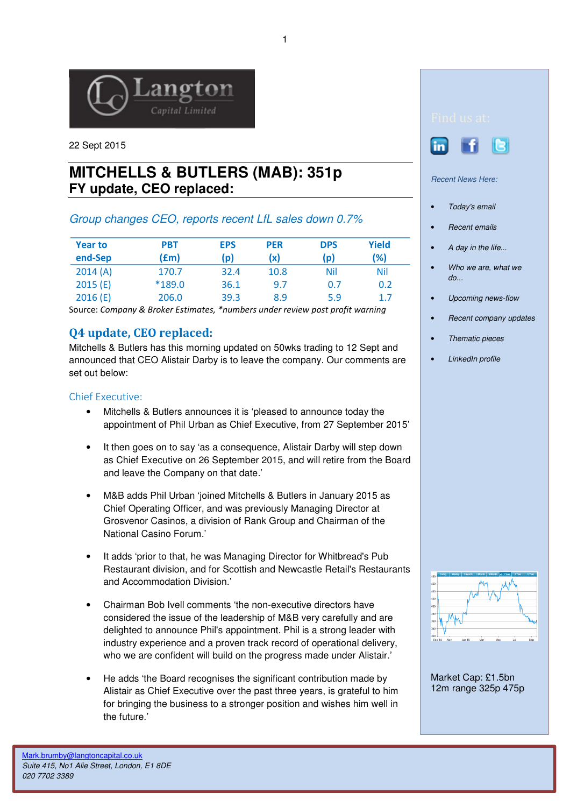

22 Sept 2015

# **MITCHELLS & BUTLERS (MAB): 351p FY update, CEO replaced:**

# Group changes CEO, reports recent LfL sales down 0.7%

| <b>Year to</b><br>end-Sep | <b>PBT</b><br>f(m) | <b>EPS</b><br>(p) | <b>PER</b><br>(x) | <b>DPS</b><br>(p) | Yield<br>(%) |
|---------------------------|--------------------|-------------------|-------------------|-------------------|--------------|
| 2014(A)                   | 170.7              | 32.4              | 10.8              | <b>Nil</b>        | Nil          |
| 2015(E)                   | $*189.0$           | 36.1              | 9.7               | 0.7               | 0.2          |
| 2016(E)                   | 206.0              | 39.3              | 8.9               | 5.9               | 1.7          |

Source: Company & Broker Estimates, \*numbers under review post profit warning

# Q4 update, CEO replaced:

Mitchells & Butlers has this morning updated on 50wks trading to 12 Sept and announced that CEO Alistair Darby is to leave the company. Our comments are set out below:

#### Chief Executive:

- Mitchells & Butlers announces it is 'pleased to announce today the appointment of Phil Urban as Chief Executive, from 27 September 2015'
- It then goes on to say 'as a consequence, Alistair Darby will step down as Chief Executive on 26 September 2015, and will retire from the Board and leave the Company on that date.'
- M&B adds Phil Urban 'joined Mitchells & Butlers in January 2015 as Chief Operating Officer, and was previously Managing Director at Grosvenor Casinos, a division of Rank Group and Chairman of the National Casino Forum.'
- It adds 'prior to that, he was Managing Director for Whitbread's Pub Restaurant division, and for Scottish and Newcastle Retail's Restaurants and Accommodation Division.'
- Chairman Bob Ivell comments 'the non-executive directors have considered the issue of the leadership of M&B very carefully and are delighted to announce Phil's appointment. Phil is a strong leader with industry experience and a proven track record of operational delivery, who we are confident will build on the progress made under Alistair.'
- He adds 'the Board recognises the significant contribution made by Alistair as Chief Executive over the past three years, is grateful to him for bringing the business to a stronger position and wishes him well in the future.'





Recent News Here:

- Today's email
- Recent emails
- A day in the life...
- Who we are, what we do...
- Upcoming news-flow
- Recent company updates
- Thematic pieces
- **LinkedIn profile**



Market Cap: £1.5bn 12m range 325p 475p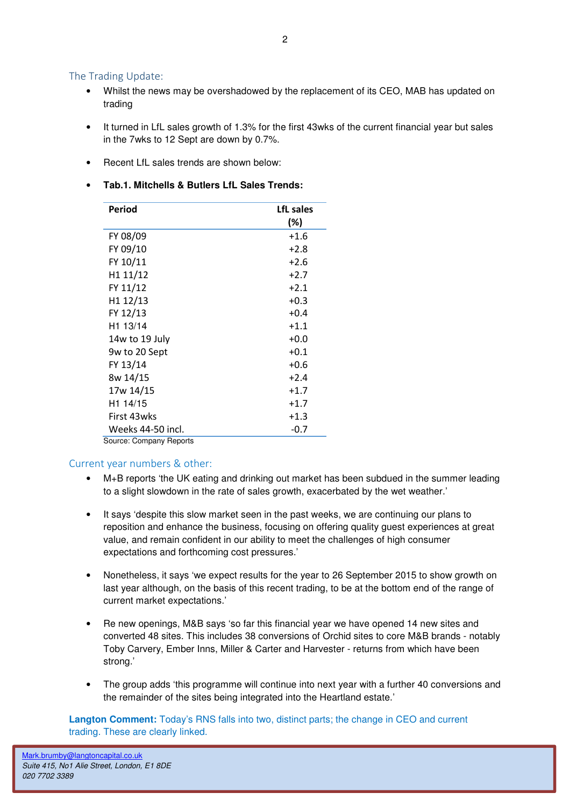### The Trading Update:

- Whilst the news may be overshadowed by the replacement of its CEO, MAB has updated on trading
- It turned in LfL sales growth of 1.3% for the first 43wks of the current financial year but sales in the 7wks to 12 Sept are down by 0.7%.
- Recent LfL sales trends are shown below:
- **Tab.1. Mitchells & Butlers LfL Sales Trends:**

| Period                  | LfL sales<br>(%) |  |  |  |
|-------------------------|------------------|--|--|--|
| FY 08/09                | $+1.6$           |  |  |  |
|                         |                  |  |  |  |
| FY 09/10                | $+2.8$           |  |  |  |
| FY 10/11                | $+2.6$           |  |  |  |
| H1 11/12                | $+2.7$           |  |  |  |
| FY 11/12                | $+2.1$           |  |  |  |
| H1 12/13                | $+0.3$           |  |  |  |
| FY 12/13                | $+0.4$           |  |  |  |
| H <sub>1</sub> 13/14    | $+1.1$           |  |  |  |
| 14w to 19 July          | $+0.0$           |  |  |  |
| 9w to 20 Sept           | $+0.1$           |  |  |  |
| FY 13/14                | $+0.6$           |  |  |  |
| 8w 14/15                | $+2.4$           |  |  |  |
| 17w 14/15               | $+1.7$           |  |  |  |
| H1 14/15                | $+1.7$           |  |  |  |
| First 43wks             | $+1.3$           |  |  |  |
| Weeks 44-50 incl.       | $-0.7$           |  |  |  |
| Source: Company Reports |                  |  |  |  |

#### Current year numbers & other:

- M+B reports 'the UK eating and drinking out market has been subdued in the summer leading to a slight slowdown in the rate of sales growth, exacerbated by the wet weather.'
- It says 'despite this slow market seen in the past weeks, we are continuing our plans to reposition and enhance the business, focusing on offering quality guest experiences at great value, and remain confident in our ability to meet the challenges of high consumer expectations and forthcoming cost pressures.'
- Nonetheless, it says 'we expect results for the year to 26 September 2015 to show growth on last year although, on the basis of this recent trading, to be at the bottom end of the range of current market expectations.'
- Re new openings, M&B says 'so far this financial year we have opened 14 new sites and converted 48 sites. This includes 38 conversions of Orchid sites to core M&B brands - notably Toby Carvery, Ember Inns, Miller & Carter and Harvester - returns from which have been strong.'
- The group adds 'this programme will continue into next year with a further 40 conversions and the remainder of the sites being integrated into the Heartland estate.'

**Langton Comment:** Today's RNS falls into two, distinct parts; the change in CEO and current trading. These are clearly linked.